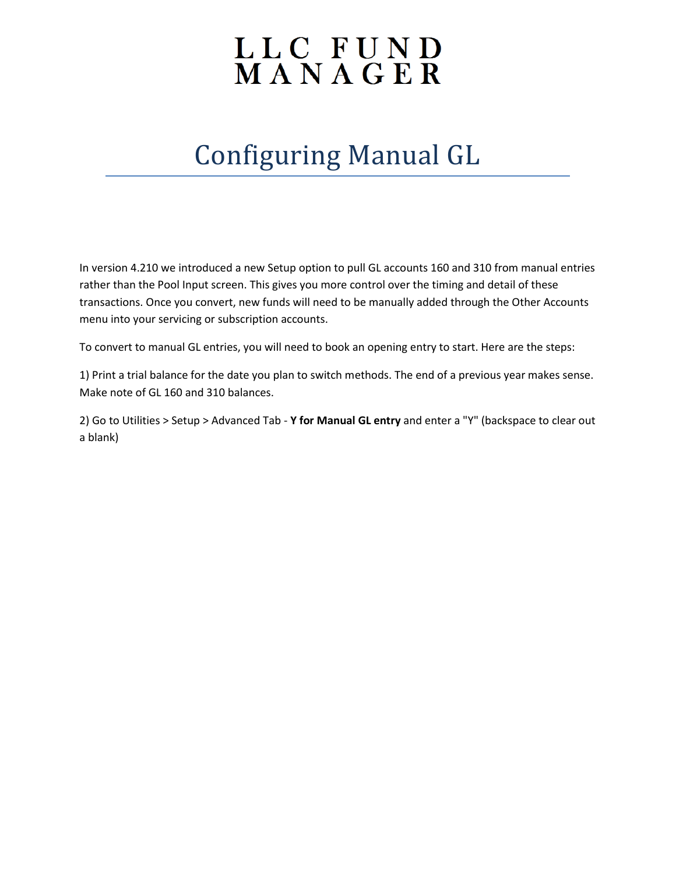## LLC FUND<br>MANAGER

## Configuring Manual GL

In version 4.210 we introduced a new Setup option to pull GL accounts 160 and 310 from manual entries rather than the Pool Input screen. This gives you more control over the timing and detail of these transactions. Once you convert, new funds will need to be manually added through the Other Accounts menu into your servicing or subscription accounts.

To convert to manual GL entries, you will need to book an opening entry to start. Here are the steps:

1) Print a trial balance for the date you plan to switch methods. The end of a previous year makes sense. Make note of GL 160 and 310 balances.

2) Go to Utilities > Setup > Advanced Tab - **Y for Manual GL entry** and enter a "Y" (backspace to clear out a blank)